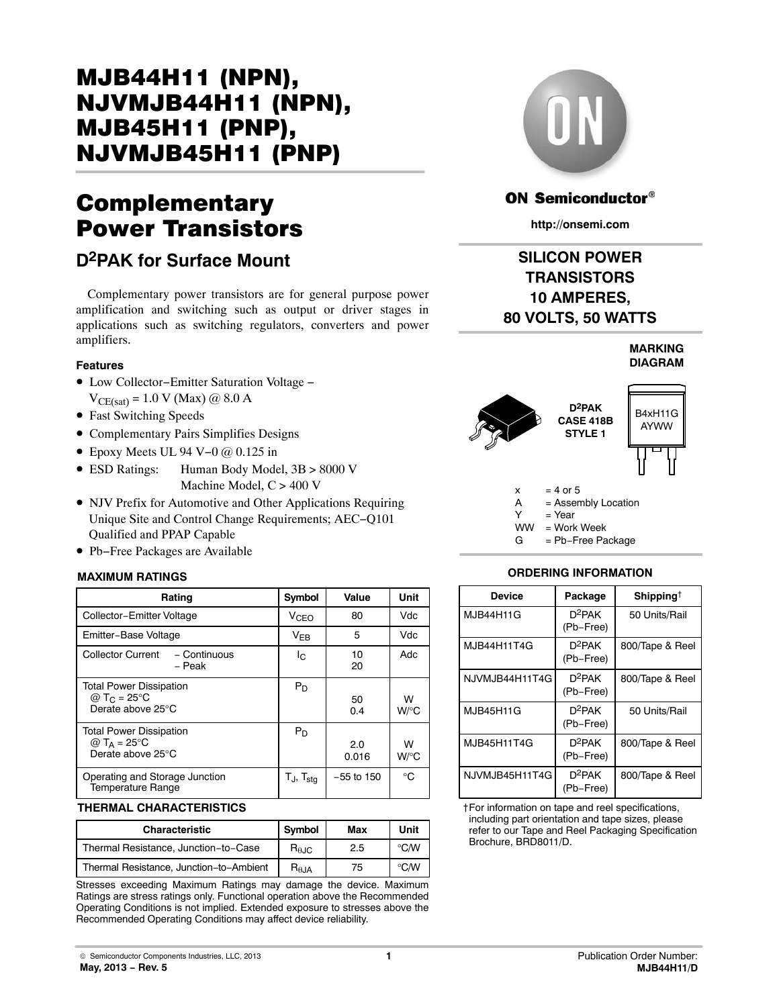# Complementary Power Transistors

## **D2PAK for Surface Mount**

Complementary power transistors are for general purpose power amplification and switching such as output or driver stages in applications such as switching regulators, converters and power amplifiers.

### **Features**

- Low Collector−Emitter Saturation Voltage −  $V_{CE(sat)} = 1.0 V (Max) @ 8.0 A$
- Fast Switching Speeds
- Complementary Pairs Simplifies Designs
- Epoxy Meets UL 94 V−0 @ 0.125 in
- ESD Ratings: Human Body Model, 3B > 8000 V Machine Model, C > 400 V
- NJV Prefix for Automotive and Other Applications Requiring Unique Site and Control Change Requirements; AEC−Q101 Qualified and PPAP Capable
- Pb−Free Packages are Available

### **MAXIMUM RATINGS**

| Rating                                                                         | Symbol                   | Value        | Unit        |
|--------------------------------------------------------------------------------|--------------------------|--------------|-------------|
| Collector-Emitter Voltage                                                      | V <sub>CEO</sub>         | 80           | Vdc         |
| Emitter-Base Voltage                                                           | $V_{FB}$                 | 5            | Vdc         |
| <b>Collector Current</b><br>- Continuous<br>– Peak                             | Ic.                      | 10<br>20     | Adc         |
| <b>Total Power Dissipation</b><br>@ T <sub>C</sub> = 25°C<br>Derate above 25°C | $P_D$                    | 50<br>0.4    | W<br>W/°C   |
| <b>Total Power Dissipation</b><br>@ $T_A = 25$ °C<br>Derate above 25°C         | $P_D$                    | 2.0<br>0.016 | W<br>W/°C   |
| Operating and Storage Junction<br><b>Temperature Range</b>                     | $T_J$ , $T_{\text{stg}}$ | $-55$ to 150 | $^{\circ}C$ |

#### **THERMAL CHARACTERISTICS**

| <b>Characteristic</b>                   | <b>Symbol</b>          | Max | Unit          |  |
|-----------------------------------------|------------------------|-----|---------------|--|
| Thermal Resistance, Junction-to-Case    | $R_{\theta \text{JC}}$ | 2.5 | $^{\circ}$ CM |  |
| Thermal Resistance, Junction-to-Ambient | $R_{\theta$ JA         | 75  | $\circ$ CM    |  |

Stresses exceeding Maximum Ratings may damage the device. Maximum Ratings are stress ratings only. Functional operation above the Recommended Operating Conditions is not implied. Extended exposure to stresses above the Recommended Operating Conditions may affect device reliability.



### **ON Semiconductor®**

**http://onsemi.com**

### **SILICON POWER TRANSISTORS 10 AMPERES, 80 VOLTS, 50 WATTS**





#### **ORDERING INFORMATION**

| <b>Device</b>  | Package                | Shipping <sup>†</sup> |
|----------------|------------------------|-----------------------|
| MJB44H11G      | $D^2$ PAK<br>(Pb-Free) | 50 Units/Rail         |
| MJB44H11T4G    | $D^2PAK$<br>(Pb-Free)  | 800/Tape & Reel       |
| NJVMJB44H11T4G | $D^2PAK$<br>(Pb-Free)  | 800/Tape & Reel       |
| MJB45H11G      | $D^2PAK$<br>(Pb-Free)  | 50 Units/Rail         |
| MJB45H11T4G    | $D^2PAK$<br>(Pb-Free)  | 800/Tape & Reel       |
| NJVMJB45H11T4G | $D^2PAK$<br>(Pb-Free)  | 800/Tape & Reel       |

†For information on tape and reel specifications, including part orientation and tape sizes, please refer to our Tape and Reel Packaging Specification Brochure, BRD8011/D.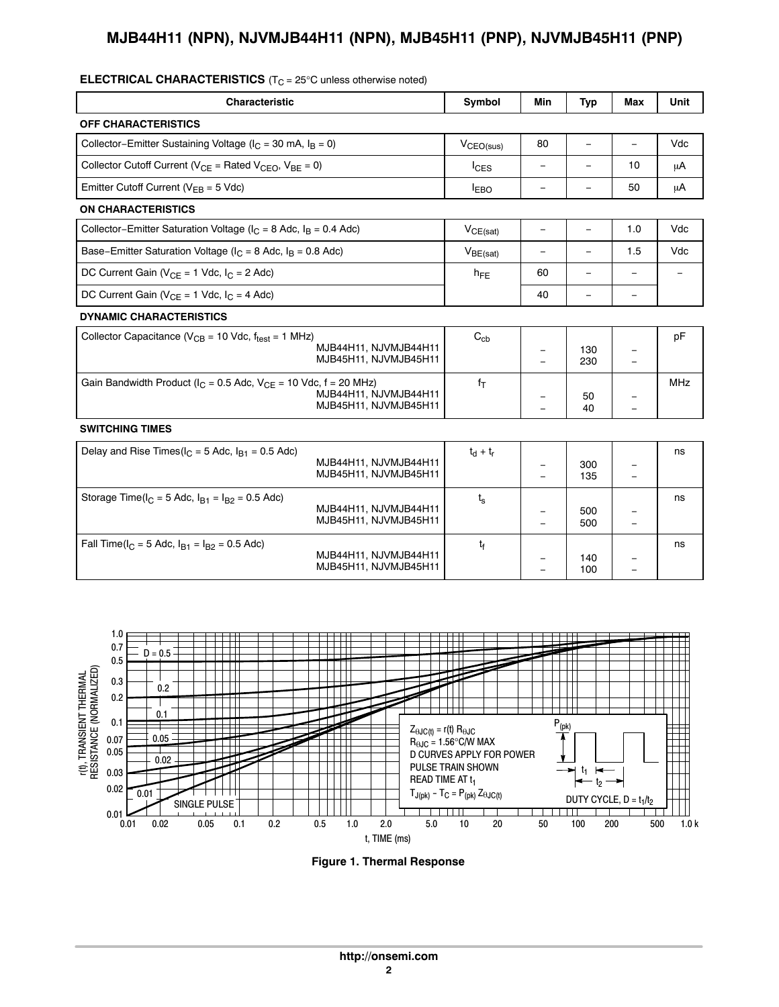| <b>ELEC I RICAL CHARAC I ERIS I ICS</b> ( $1C = 25oC$ unless otherwise noted) |                                                |                       |                          |            |                          |            |  |
|-------------------------------------------------------------------------------|------------------------------------------------|-----------------------|--------------------------|------------|--------------------------|------------|--|
| <b>Characteristic</b>                                                         |                                                | Symbol                | Min                      | <b>Typ</b> | Max                      | Unit       |  |
| <b>OFF CHARACTERISTICS</b>                                                    |                                                |                       |                          |            |                          |            |  |
| Collector-Emitter Sustaining Voltage ( $I_C = 30$ mA, $I_B = 0$ )             |                                                | V <sub>CEO(sus)</sub> | 80                       | $\equiv$   | $\overline{\phantom{0}}$ | Vdc        |  |
| Collector Cutoff Current ( $V_{CE}$ = Rated $V_{CEO}$ , $V_{BE}$ = 0)         |                                                | $I_{CES}$             | $\equiv$                 | $\equiv$   | 10                       | μA         |  |
| Emitter Cutoff Current ( $V_{EB} = 5$ Vdc)                                    |                                                | $I_{EBO}$             | $\qquad \qquad =$        | $\equiv$   | 50                       | μA         |  |
| <b>ON CHARACTERISTICS</b>                                                     |                                                |                       |                          |            |                          |            |  |
| Collector-Emitter Saturation Voltage ( $I_C = 8$ Adc, $I_B = 0.4$ Adc)        |                                                | $V_{CE(sat)}$         | $\overline{\phantom{a}}$ | $\equiv$   | 1.0                      | Vdc        |  |
| Base-Emitter Saturation Voltage ( $I_C = 8$ Adc, $I_B = 0.8$ Adc)             |                                                | $V_{BE(sat)}$         | $\qquad \qquad -$        | $\equiv$   | 1.5                      | Vdc        |  |
| DC Current Gain ( $V_{CE}$ = 1 Vdc, $I_C$ = 2 Adc)                            |                                                | $h_{FE}$              | 60                       | $\equiv$   | $\qquad \qquad -$        |            |  |
| DC Current Gain ( $V_{CE} = 1$ Vdc, $I_C = 4$ Adc)                            |                                                |                       | 40                       | $\equiv$   | $\qquad \qquad -$        |            |  |
| <b>DYNAMIC CHARACTERISTICS</b>                                                |                                                |                       |                          |            |                          |            |  |
| Collector Capacitance ( $V_{CB}$ = 10 Vdc, $f_{test}$ = 1 MHz)                | MJB44H11, NJVMJB44H11<br>MJB45H11, NJVMJB45H11 | $C_{ch}$              |                          | 130<br>230 |                          | pF         |  |
| Gain Bandwidth Product ( $I_C = 0.5$ Adc, $V_{CE} = 10$ Vdc, $f = 20$ MHz)    | MJB44H11, NJVMJB44H11<br>MJB45H11, NJVMJB45H11 | $f_{\rm T}$           |                          | 50<br>40   | $\equiv$                 | <b>MHz</b> |  |
| <b>SWITCHING TIMES</b>                                                        |                                                |                       |                          |            |                          |            |  |
| Delay and Rise Times( $I_C = 5$ Adc, $I_{B1} = 0.5$ Adc)                      | MJB44H11, NJVMJB44H11<br>MJB45H11, NJVMJB45H11 | $t_d + t_r$           |                          | 300<br>135 |                          | ns         |  |
| Storage Time( $I_C = 5$ Adc, $I_{B1} = I_{B2} = 0.5$ Adc)                     | MJB44H11, NJVMJB44H11<br>MJB45H11, NJVMJB45H11 | $t_{\rm s}$           | $\equiv$                 | 500<br>500 | $\equiv$                 | ns         |  |
| Fall Time( $I_C = 5$ Adc, $I_{B1} = I_{B2} = 0.5$ Adc)                        | MJB44H11, NJVMJB44H11<br>MJB45H11, NJVMJB45H11 | $t_{\rm f}$           |                          | 140<br>100 | $\qquad \qquad -$        | ns         |  |

#### **ELECTRICAL CHARACTERISTICS** (T<sub>C</sub> = 25°C unless otherwise noted)



**Figure 1. Thermal Response**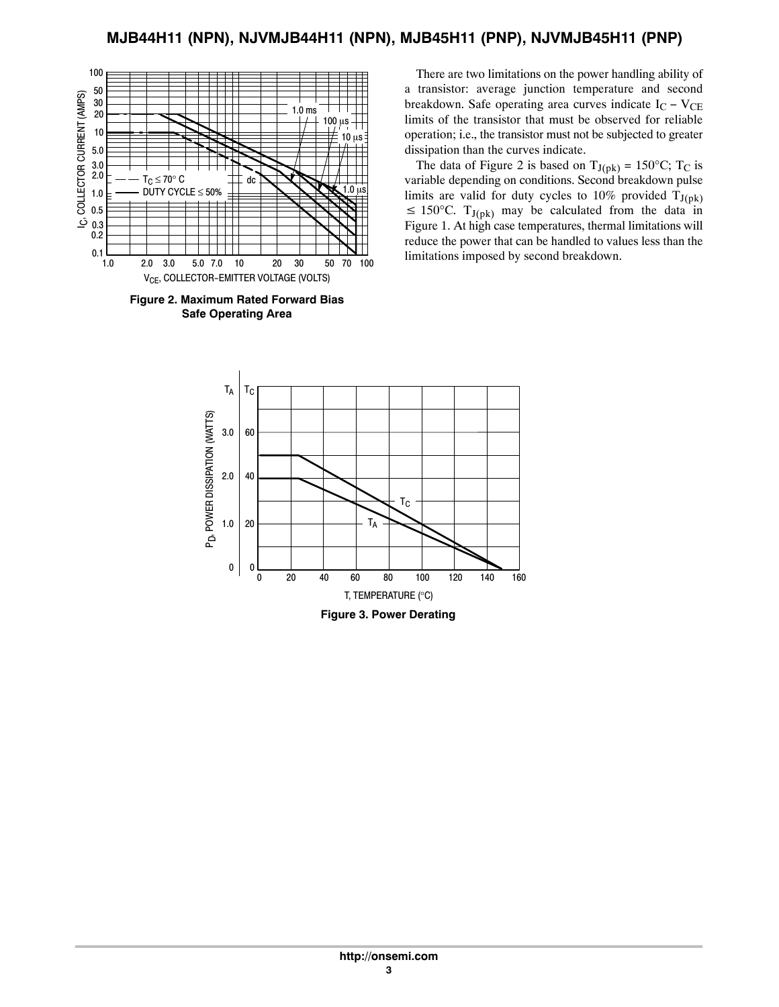

**Figure 2. Maximum Rated Forward Bias Safe Operating Area**

There are two limitations on the power handling ability of a transistor: average junction temperature and second breakdown. Safe operating area curves indicate  $I_C - V_{CE}$ limits of the transistor that must be observed for reliable operation; i.e., the transistor must not be subjected to greater dissipation than the curves indicate.

The data of Figure 2 is based on  $T_{J(pk)} = 150^{\circ}$ C; T<sub>C</sub> is variable depending on conditions. Second breakdown pulse limits are valid for duty cycles to 10% provided  $T_{J(pk)}$  $\leq 150^{\circ}$ C. T<sub>J(pk)</sub> may be calculated from the data in Figure 1. At high case temperatures, thermal limitations will reduce the power that can be handled to values less than the limitations imposed by second breakdown.



**Figure 3. Power Derating**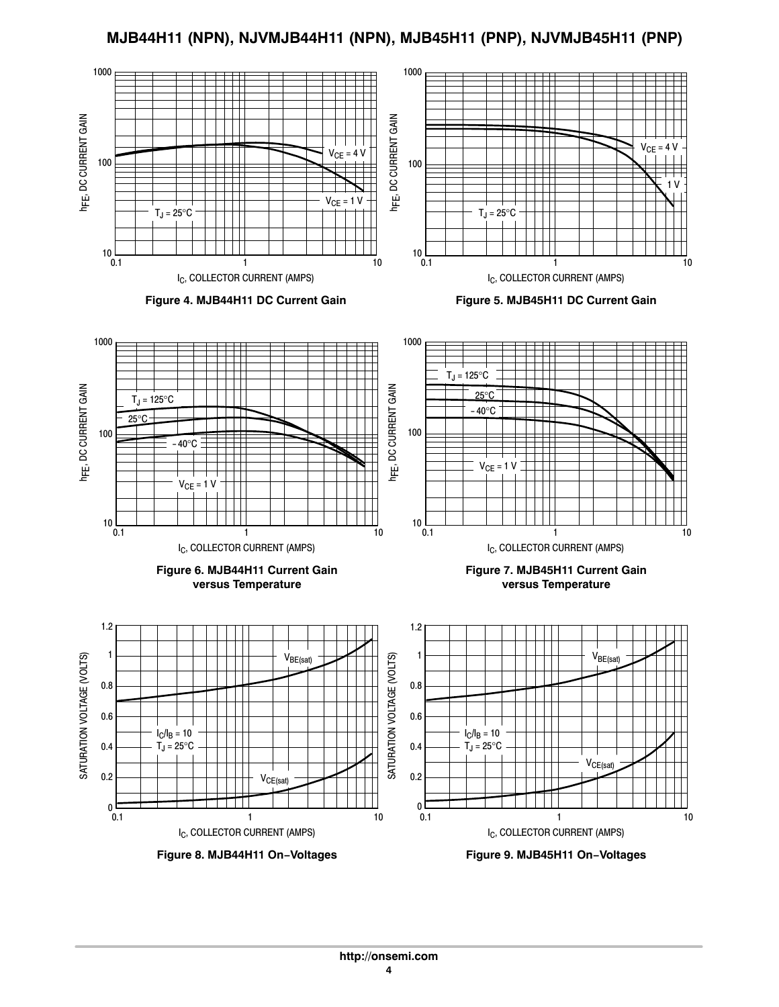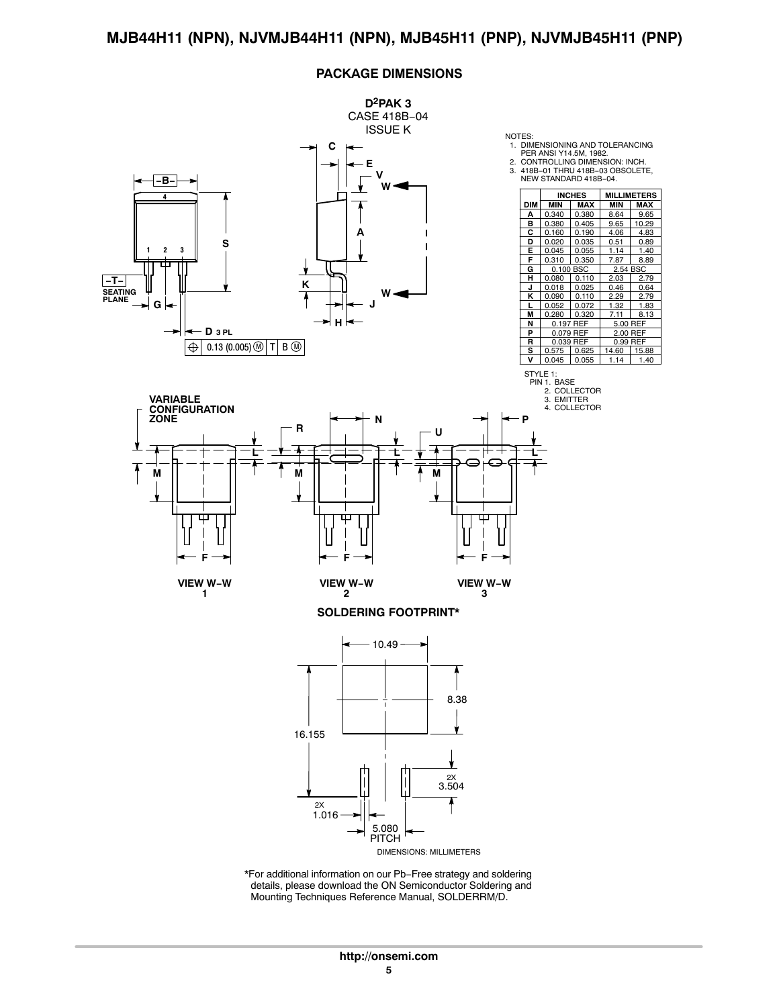#### **PACKAGE DIMENSIONS**

![](_page_4_Figure_2.jpeg)

\*For additional information on our Pb−Free strategy and soldering details, please download the ON Semiconductor Soldering and Mounting Techniques Reference Manual, SOLDERRM/D.